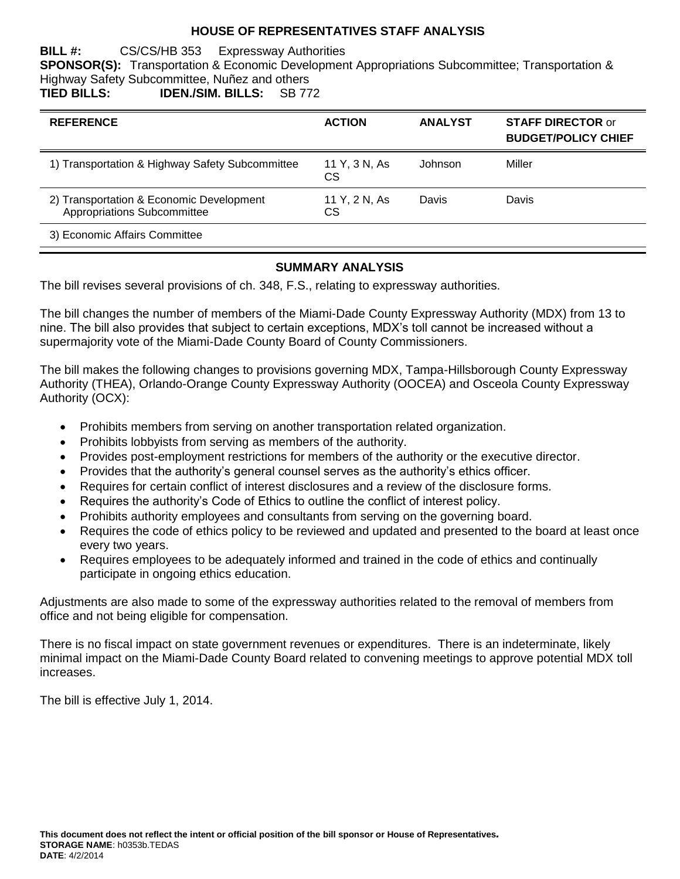### **HOUSE OF REPRESENTATIVES STAFF ANALYSIS**

#### **BILL #:** CS/CS/HB 353 Expressway Authorities

**SPONSOR(S):** Transportation & Economic Development Appropriations Subcommittee; Transportation & Highway Safety Subcommittee, Nuñez and others **TIED BILLS: IDEN./SIM. BILLS:** SB 772

| <b>REFERENCE</b>                                                        | <b>ACTION</b>        | <b>ANALYST</b> | <b>STAFF DIRECTOR or</b><br><b>BUDGET/POLICY CHIEF</b> |
|-------------------------------------------------------------------------|----------------------|----------------|--------------------------------------------------------|
| 1) Transportation & Highway Safety Subcommittee                         | 11 Y, 3 N, As<br>CS. | Johnson        | Miller                                                 |
| 2) Transportation & Economic Development<br>Appropriations Subcommittee | 11 Y, 2 N, As<br>СS  | Davis          | <b>Davis</b>                                           |
| 3) Economic Affairs Committee                                           |                      |                |                                                        |

### **SUMMARY ANALYSIS**

The bill revises several provisions of ch. 348, F.S., relating to expressway authorities.

The bill changes the number of members of the Miami-Dade County Expressway Authority (MDX) from 13 to nine. The bill also provides that subject to certain exceptions, MDX's toll cannot be increased without a supermajority vote of the Miami-Dade County Board of County Commissioners.

The bill makes the following changes to provisions governing MDX, Tampa-Hillsborough County Expressway Authority (THEA), Orlando-Orange County Expressway Authority (OOCEA) and Osceola County Expressway Authority (OCX):

- Prohibits members from serving on another transportation related organization.
- Prohibits lobbyists from serving as members of the authority.
- Provides post-employment restrictions for members of the authority or the executive director.
- Provides that the authority's general counsel serves as the authority's ethics officer.
- Requires for certain conflict of interest disclosures and a review of the disclosure forms.
- Requires the authority's Code of Ethics to outline the conflict of interest policy.
- Prohibits authority employees and consultants from serving on the governing board.
- Requires the code of ethics policy to be reviewed and updated and presented to the board at least once every two years.
- Requires employees to be adequately informed and trained in the code of ethics and continually participate in ongoing ethics education.

Adjustments are also made to some of the expressway authorities related to the removal of members from office and not being eligible for compensation.

There is no fiscal impact on state government revenues or expenditures. There is an indeterminate, likely minimal impact on the Miami-Dade County Board related to convening meetings to approve potential MDX toll increases.

The bill is effective July 1, 2014.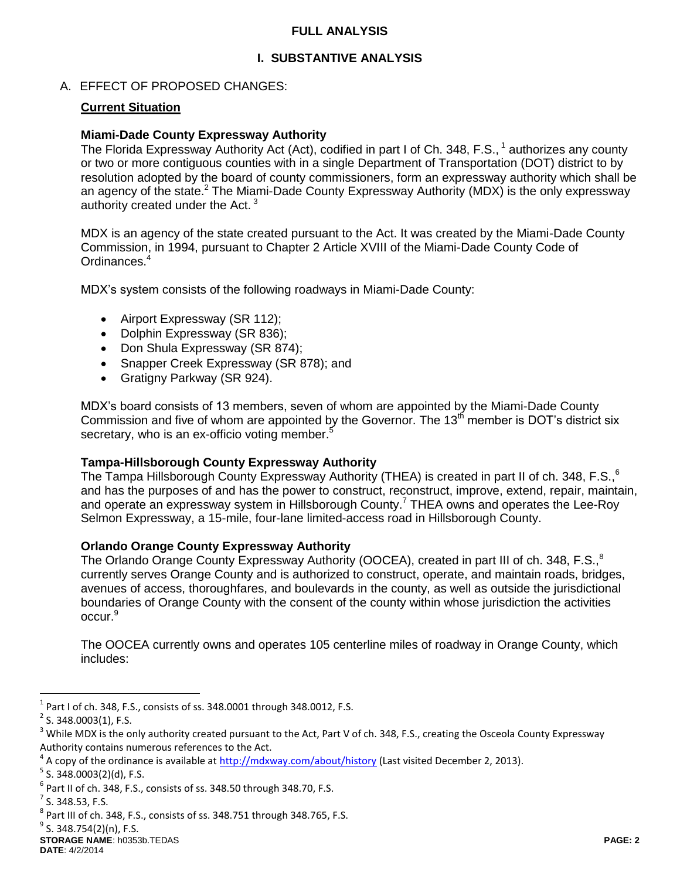### **FULL ANALYSIS**

## **I. SUBSTANTIVE ANALYSIS**

### A. EFFECT OF PROPOSED CHANGES:

### **Current Situation**

### **Miami-Dade County Expressway Authority**

The Florida Expressway Authority Act (Act), codified in part I of Ch. 348, F.S., <sup>1</sup> authorizes any county or two or more contiguous counties with in a single Department of Transportation (DOT) district to by resolution adopted by the board of county commissioners, form an expressway authority which shall be an agency of the state.<sup>2</sup> The Miami-Dade County Expressway Authority (MDX) is the only expressway authority created under the Act.<sup>3</sup>

MDX is an agency of the state created pursuant to the Act. It was created by the Miami-Dade County Commission, in 1994, pursuant to Chapter 2 Article XVIII of the Miami-Dade County Code of Ordinances.<sup>4</sup>

MDX's system consists of the following roadways in Miami-Dade County:

- Airport Expressway (SR 112):
- Dolphin Expressway (SR 836);
- Don Shula Expressway (SR 874);
- Snapper Creek Expressway (SR 878); and
- Gratigny Parkway (SR 924).

MDX's board consists of 13 members, seven of whom are appointed by the Miami-Dade County Commission and five of whom are appointed by the Governor. The  $13<sup>th</sup>$  member is DOT's district six secretary, who is an ex-officio voting member.<sup>5</sup>

#### **Tampa-Hillsborough County Expressway Authority**

The Tampa Hillsborough County Expressway Authority (THEA) is created in part II of ch. 348, F.S.,<sup>6</sup> and has the purposes of and has the power to construct, reconstruct, improve, extend, repair, maintain, and operate an expressway system in Hillsborough County.<sup>7</sup> THEA owns and operates the Lee-Roy Selmon Expressway, a 15-mile, four-lane limited-access road in Hillsborough County.

### **Orlando Orange County Expressway Authority**

The Orlando Orange County Expressway Authority (OOCEA), created in part III of ch. 348, F.S.,<sup>8</sup> currently serves Orange County and is authorized to construct, operate, and maintain roads, bridges, avenues of access, thoroughfares, and boulevards in the county, as well as outside the jurisdictional boundaries of Orange County with the consent of the county within whose jurisdiction the activities occur.<sup>9</sup>

The OOCEA currently owns and operates 105 centerline miles of roadway in Orange County, which includes:

 $\overline{a}$ 

 $^1$  Part I of ch. 348, F.S., consists of ss. 348.0001 through 348.0012, F.S.

 $2$  S. 348.0003(1), F.S.

<sup>&</sup>lt;sup>3</sup> While MDX is the only authority created pursuant to the Act, Part V of ch. 348, F.S., creating the Osceola County Expressway Authority contains numerous references to the Act.

<sup>&</sup>lt;sup>4</sup> A copy of the ordinance is available at *http://mdxway.com/about/history* (Last visited December 2, 2013).

<sup>&</sup>lt;sup>5</sup> S. 348.0003(2)(d), F.S.

 $^6$  Part II of ch. 348, F.S., consists of ss. 348.50 through 348.70, F.S.

 $<sup>7</sup>$  S. 348.53, F.S.</sup>

 $^8$  Part III of ch. 348, F.S., consists of ss. 348.751 through 348.765, F.S.

**STORAGE NAME**: h0353b.TEDAS **PAGE: 2** <sup>9</sup> S. 348.754(2)(n), F.S.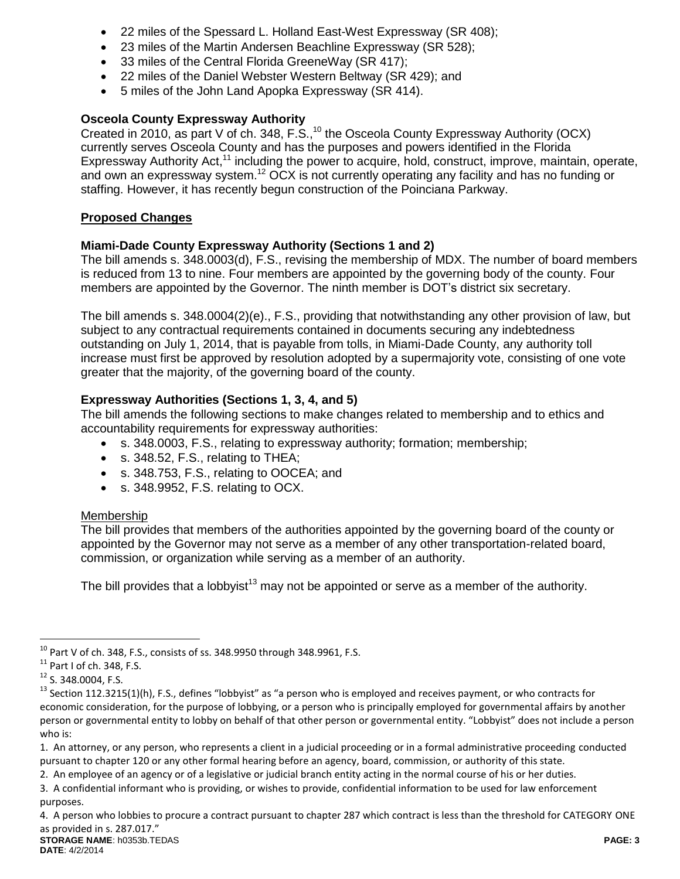- 22 miles of the Spessard L. Holland East-West Expressway (SR 408);
- 23 miles of the Martin Andersen Beachline Expressway (SR 528);
- 33 miles of the Central Florida GreeneWay (SR 417);
- 22 miles of the Daniel Webster Western Beltway (SR 429); and
- 5 miles of the John Land Apopka Expressway (SR 414).

# **Osceola County Expressway Authority**

Created in 2010, as part V of ch. 348, F.S., $^{10}$  the Osceola County Expressway Authority (OCX) currently serves Osceola County and has the purposes and powers identified in the Florida Expressway Authority Act,<sup>11</sup> including the power to acquire, hold, construct, improve, maintain, operate, and own an expressway system.<sup>12</sup> OCX is not currently operating any facility and has no funding or staffing. However, it has recently begun construction of the Poinciana Parkway.

## **Proposed Changes**

## **Miami-Dade County Expressway Authority (Sections 1 and 2)**

The bill amends s. 348.0003(d), F.S., revising the membership of MDX. The number of board members is reduced from 13 to nine. Four members are appointed by the governing body of the county. Four members are appointed by the Governor. The ninth member is DOT's district six secretary.

The bill amends s. 348.0004(2)(e)., F.S., providing that notwithstanding any other provision of law, but subject to any contractual requirements contained in documents securing any indebtedness outstanding on July 1, 2014, that is payable from tolls, in Miami-Dade County, any authority toll increase must first be approved by resolution adopted by a supermajority vote, consisting of one vote greater that the majority, of the governing board of the county.

## **Expressway Authorities (Sections 1, 3, 4, and 5)**

The bill amends the following sections to make changes related to membership and to ethics and accountability requirements for expressway authorities:

- s. 348.0003, F.S., relating to expressway authority; formation; membership;
- s. 348.52, F.S., relating to THEA;
- s. 348.753, F.S., relating to OOCEA; and
- s. 348.9952, F.S. relating to OCX.

### Membership

The bill provides that members of the authorities appointed by the governing board of the county or appointed by the Governor may not serve as a member of any other transportation-related board, commission, or organization while serving as a member of an authority.

The bill provides that a lobbyist<sup>13</sup> may not be appointed or serve as a member of the authority.

 $\overline{a}$ 

2. An employee of an agency or of a legislative or judicial branch entity acting in the normal course of his or her duties.

 $^{10}$  Part V of ch. 348, F.S., consists of ss. 348.9950 through 348.9961, F.S.

 $11$  Part I of ch. 348, F.S.

<sup>12</sup> S. 348.0004, F.S.

 $13$  Section 112.3215(1)(h), F.S., defines "lobbyist" as "a person who is employed and receives payment, or who contracts for economic consideration, for the purpose of lobbying, or a person who is principally employed for governmental affairs by another person or governmental entity to lobby on behalf of that other person or governmental entity. "Lobbyist" does not include a person who is:

<sup>1.</sup> An attorney, or any person, who represents a client in a judicial proceeding or in a formal administrative proceeding conducted pursuant to chapter 120 or any other formal hearing before an agency, board, commission, or authority of this state.

<sup>3.</sup> A confidential informant who is providing, or wishes to provide, confidential information to be used for law enforcement purposes.

<sup>4.</sup> A person who lobbies to procure a contract pursuant to chapter 287 which contract is less than the threshold for CATEGORY ONE as provided in s. 287.017."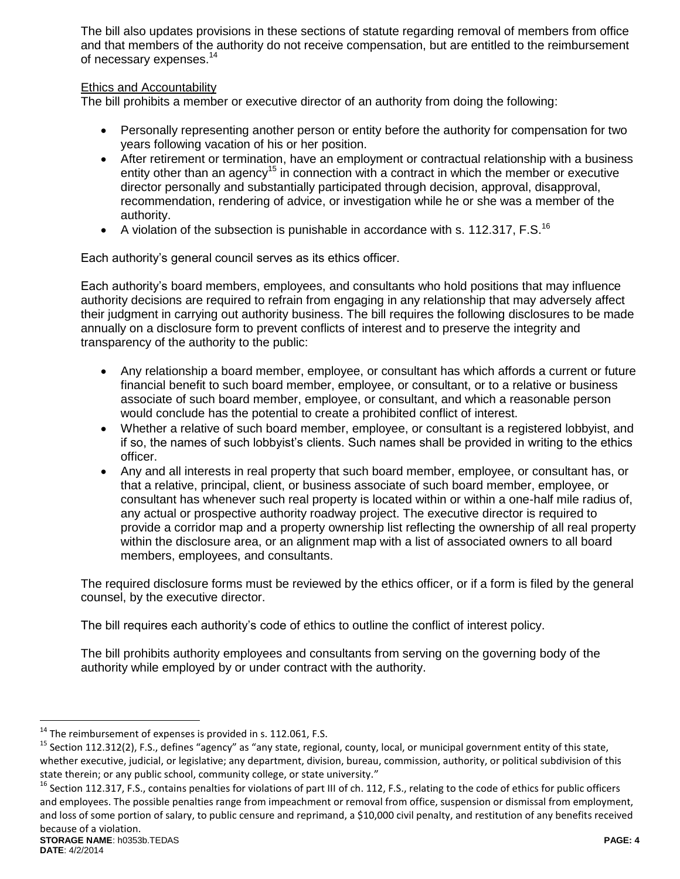The bill also updates provisions in these sections of statute regarding removal of members from office and that members of the authority do not receive compensation, but are entitled to the reimbursement of necessary expenses.<sup>14</sup>

## Ethics and Accountability

The bill prohibits a member or executive director of an authority from doing the following:

- Personally representing another person or entity before the authority for compensation for two years following vacation of his or her position.
- After retirement or termination, have an employment or contractual relationship with a business entity other than an agency<sup>15</sup> in connection with a contract in which the member or executive director personally and substantially participated through decision, approval, disapproval, recommendation, rendering of advice, or investigation while he or she was a member of the authority.
- A violation of the subsection is punishable in accordance with s. 112.317, F.S.<sup>16</sup>

Each authority's general council serves as its ethics officer.

Each authority's board members, employees, and consultants who hold positions that may influence authority decisions are required to refrain from engaging in any relationship that may adversely affect their judgment in carrying out authority business. The bill requires the following disclosures to be made annually on a disclosure form to prevent conflicts of interest and to preserve the integrity and transparency of the authority to the public:

- Any relationship a board member, employee, or consultant has which affords a current or future financial benefit to such board member, employee, or consultant, or to a relative or business associate of such board member, employee, or consultant, and which a reasonable person would conclude has the potential to create a prohibited conflict of interest.
- Whether a relative of such board member, employee, or consultant is a registered lobbyist, and if so, the names of such lobbyist's clients. Such names shall be provided in writing to the ethics officer.
- Any and all interests in real property that such board member, employee, or consultant has, or that a relative, principal, client, or business associate of such board member, employee, or consultant has whenever such real property is located within or within a one-half mile radius of, any actual or prospective authority roadway project. The executive director is required to provide a corridor map and a property ownership list reflecting the ownership of all real property within the disclosure area, or an alignment map with a list of associated owners to all board members, employees, and consultants.

The required disclosure forms must be reviewed by the ethics officer, or if a form is filed by the general counsel, by the executive director.

The bill requires each authority's code of ethics to outline the conflict of interest policy.

The bill prohibits authority employees and consultants from serving on the governing body of the authority while employed by or under contract with the authority.

 $\overline{a}$ 

 $14$  The reimbursement of expenses is provided in s. 112.061, F.S.

<sup>&</sup>lt;sup>15</sup> Section 112.312(2), F.S., defines "agency" as "any state, regional, county, local, or municipal government entity of this state, whether executive, judicial, or legislative; any department, division, bureau, commission, authority, or political subdivision of this state therein; or any public school, community college, or state university."

**STORAGE NAME**: h0353b.TEDAS **PAGE: 4** <sup>16</sup> Section 112.317, F.S., contains penalties for violations of part III of ch. 112, F.S., relating to the code of ethics for public officers and employees. The possible penalties range from impeachment or removal from office, suspension or dismissal from employment, and loss of some portion of salary, to public censure and reprimand, a \$10,000 civil penalty, and restitution of any benefits received because of a violation.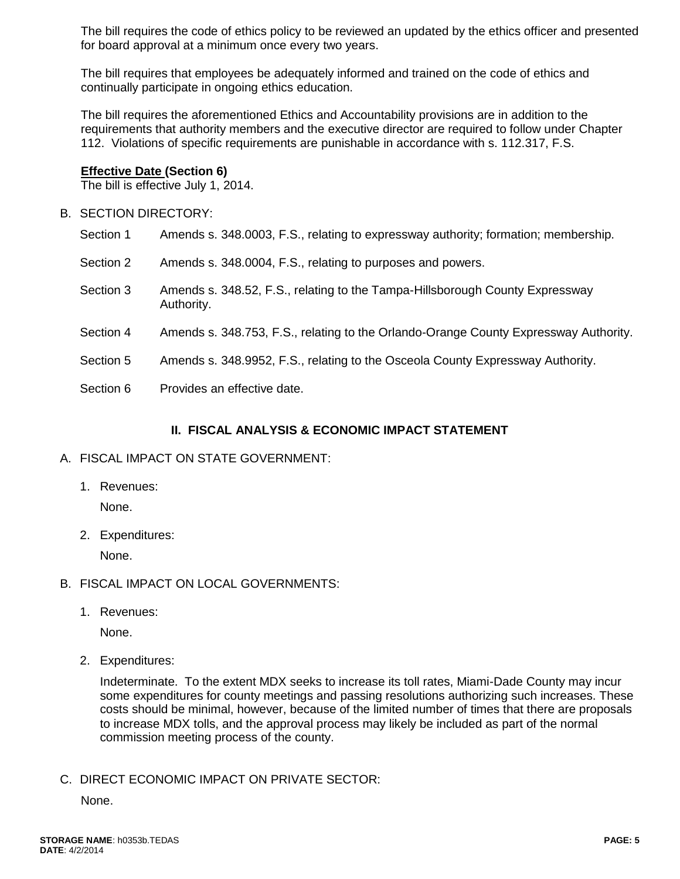The bill requires the code of ethics policy to be reviewed an updated by the ethics officer and presented for board approval at a minimum once every two years.

The bill requires that employees be adequately informed and trained on the code of ethics and continually participate in ongoing ethics education.

The bill requires the aforementioned Ethics and Accountability provisions are in addition to the requirements that authority members and the executive director are required to follow under Chapter 112. Violations of specific requirements are punishable in accordance with s. 112.317, F.S.

#### **Effective Date (Section 6)**

The bill is effective July 1, 2014.

- B. SECTION DIRECTORY:
	- Section 1 Amends s. 348.0003, F.S., relating to expressway authority; formation; membership.
	- Section 2 Amends s. 348.0004, F.S., relating to purposes and powers.
	- Section 3 Amends s. 348.52, F.S., relating to the Tampa-Hillsborough County Expressway Authority.
	- Section 4 Amends s. 348.753, F.S., relating to the Orlando-Orange County Expressway Authority.
	- Section 5 Amends s. 348.9952, F.S., relating to the Osceola County Expressway Authority.
	- Section 6 Provides an effective date.

#### **II. FISCAL ANALYSIS & ECONOMIC IMPACT STATEMENT**

### A. FISCAL IMPACT ON STATE GOVERNMENT:

1. Revenues:

None.

2. Expenditures:

None.

- B. FISCAL IMPACT ON LOCAL GOVERNMENTS:
	- 1. Revenues:

None.

2. Expenditures:

Indeterminate. To the extent MDX seeks to increase its toll rates, Miami-Dade County may incur some expenditures for county meetings and passing resolutions authorizing such increases. These costs should be minimal, however, because of the limited number of times that there are proposals to increase MDX tolls, and the approval process may likely be included as part of the normal commission meeting process of the county.

C. DIRECT ECONOMIC IMPACT ON PRIVATE SECTOR:

None.